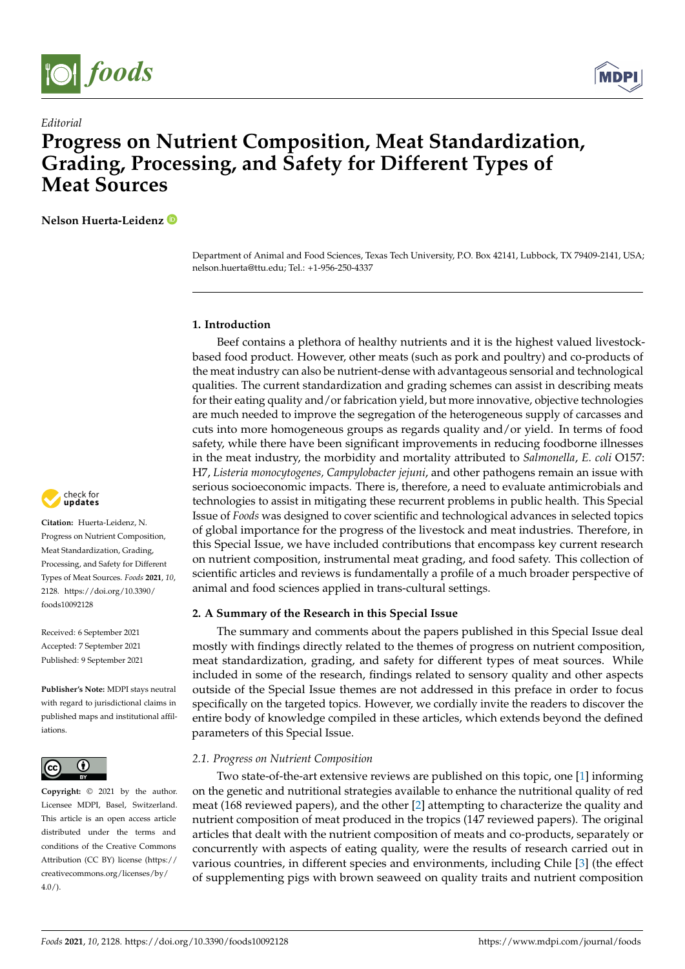

*Editorial*



# **Progress on Nutrient Composition, Meat Standardization, Grading, Processing, and Safety for Different Types of Meat Sources**

**Nelson Huerta-Leidenz**

Department of Animal and Food Sciences, Texas Tech University, P.O. Box 42141, Lubbock, TX 79409-2141, USA; nelson.huerta@ttu.edu; Tel.: +1-956-250-4337

## **1. Introduction**

Beef contains a plethora of healthy nutrients and it is the highest valued livestockbased food product. However, other meats (such as pork and poultry) and co-products of the meat industry can also be nutrient-dense with advantageous sensorial and technological qualities. The current standardization and grading schemes can assist in describing meats for their eating quality and/or fabrication yield, but more innovative, objective technologies are much needed to improve the segregation of the heterogeneous supply of carcasses and cuts into more homogeneous groups as regards quality and/or yield. In terms of food safety, while there have been significant improvements in reducing foodborne illnesses in the meat industry, the morbidity and mortality attributed to *Salmonella*, *E. coli* O157: H7, *Listeria monocytogenes, Campylobacter jejuni*, and other pathogens remain an issue with serious socioeconomic impacts. There is, therefore, a need to evaluate antimicrobials and technologies to assist in mitigating these recurrent problems in public health. This Special Issue of *Foods* was designed to cover scientific and technological advances in selected topics of global importance for the progress of the livestock and meat industries. Therefore, in this Special Issue, we have included contributions that encompass key current research on nutrient composition, instrumental meat grading, and food safety. This collection of scientific articles and reviews is fundamentally a profile of a much broader perspective of animal and food sciences applied in trans-cultural settings.

## **2. A Summary of the Research in this Special Issue**

The summary and comments about the papers published in this Special Issue deal mostly with findings directly related to the themes of progress on nutrient composition, meat standardization, grading, and safety for different types of meat sources. While included in some of the research, findings related to sensory quality and other aspects outside of the Special Issue themes are not addressed in this preface in order to focus specifically on the targeted topics. However, we cordially invite the readers to discover the entire body of knowledge compiled in these articles, which extends beyond the defined parameters of this Special Issue.

#### *2.1. Progress on Nutrient Composition*

Two state-of-the-art extensive reviews are published on this topic, one [\[1\]](#page-7-0) informing on the genetic and nutritional strategies available to enhance the nutritional quality of red meat (168 reviewed papers), and the other [\[2\]](#page-7-1) attempting to characterize the quality and nutrient composition of meat produced in the tropics (147 reviewed papers). The original articles that dealt with the nutrient composition of meats and co-products, separately or concurrently with aspects of eating quality, were the results of research carried out in various countries, in different species and environments, including Chile [\[3\]](#page-7-2) (the effect of supplementing pigs with brown seaweed on quality traits and nutrient composition



**Citation:** Huerta-Leidenz, N. Progress on Nutrient Composition, Meat Standardization, Grading, Processing, and Safety for Different Types of Meat Sources. *Foods* **2021**, *10*, 2128. [https://doi.org/10.3390/](https://doi.org/10.3390/foods10092128) [foods10092128](https://doi.org/10.3390/foods10092128)

Received: 6 September 2021 Accepted: 7 September 2021 Published: 9 September 2021

**Publisher's Note:** MDPI stays neutral with regard to jurisdictional claims in published maps and institutional affiliations.



**Copyright:** © 2021 by the author. Licensee MDPI, Basel, Switzerland. This article is an open access article distributed under the terms and conditions of the Creative Commons Attribution (CC BY) license (https:/[/](https://creativecommons.org/licenses/by/4.0/) [creativecommons.org/licenses/by/](https://creativecommons.org/licenses/by/4.0/)  $4.0/$ ).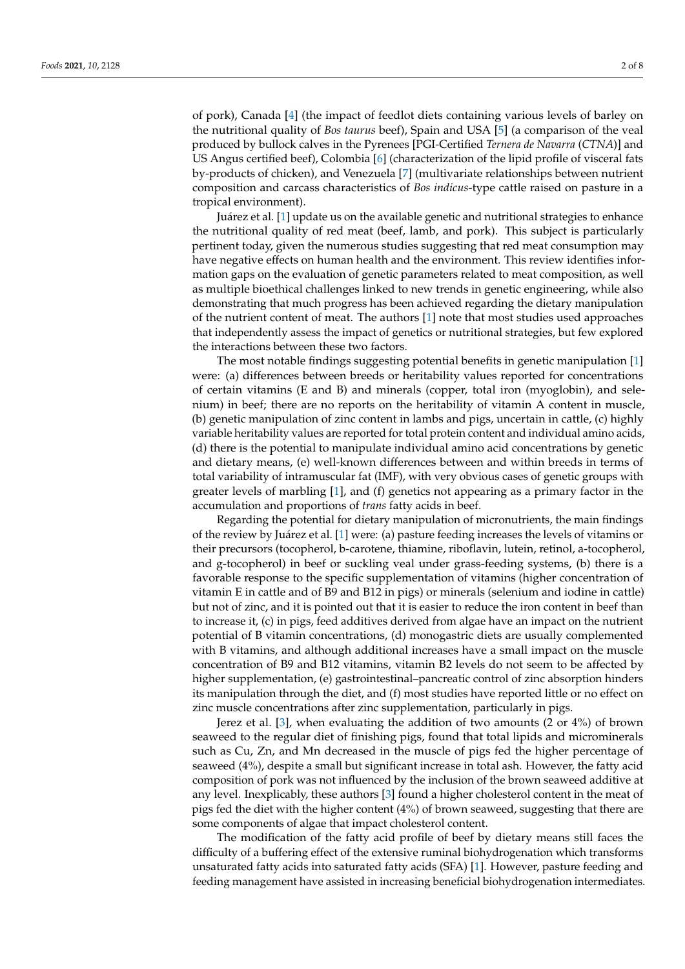of pork), Canada [\[4\]](#page-7-3) (the impact of feedlot diets containing various levels of barley on the nutritional quality of *Bos taurus* beef), Spain and USA [\[5\]](#page-7-4) (a comparison of the veal produced by bullock calves in the Pyrenees [PGI-Certified *Ternera de Navarra* (*CTNA*)] and US Angus certified beef), Colombia [\[6\]](#page-7-5) (characterization of the lipid profile of visceral fats by-products of chicken), and Venezuela [\[7\]](#page-7-6) (multivariate relationships between nutrient composition and carcass characteristics of *Bos indicus*-type cattle raised on pasture in a tropical environment).

Juárez et al. [\[1\]](#page-7-0) update us on the available genetic and nutritional strategies to enhance the nutritional quality of red meat (beef, lamb, and pork). This subject is particularly pertinent today, given the numerous studies suggesting that red meat consumption may have negative effects on human health and the environment. This review identifies information gaps on the evaluation of genetic parameters related to meat composition, as well as multiple bioethical challenges linked to new trends in genetic engineering, while also demonstrating that much progress has been achieved regarding the dietary manipulation of the nutrient content of meat. The authors [\[1\]](#page-7-0) note that most studies used approaches that independently assess the impact of genetics or nutritional strategies, but few explored the interactions between these two factors.

The most notable findings suggesting potential benefits in genetic manipulation [\[1\]](#page-7-0) were: (a) differences between breeds or heritability values reported for concentrations of certain vitamins (E and B) and minerals (copper, total iron (myoglobin), and selenium) in beef; there are no reports on the heritability of vitamin A content in muscle, (b) genetic manipulation of zinc content in lambs and pigs, uncertain in cattle, (c) highly variable heritability values are reported for total protein content and individual amino acids, (d) there is the potential to manipulate individual amino acid concentrations by genetic and dietary means, (e) well-known differences between and within breeds in terms of total variability of intramuscular fat (IMF), with very obvious cases of genetic groups with greater levels of marbling [\[1\]](#page-7-0), and (f) genetics not appearing as a primary factor in the accumulation and proportions of *trans* fatty acids in beef.

Regarding the potential for dietary manipulation of micronutrients, the main findings of the review by Juárez et al. [\[1\]](#page-7-0) were: (a) pasture feeding increases the levels of vitamins or their precursors (tocopherol, b-carotene, thiamine, riboflavin, lutein, retinol, a-tocopherol, and g-tocopherol) in beef or suckling veal under grass-feeding systems, (b) there is a favorable response to the specific supplementation of vitamins (higher concentration of vitamin E in cattle and of B9 and B12 in pigs) or minerals (selenium and iodine in cattle) but not of zinc, and it is pointed out that it is easier to reduce the iron content in beef than to increase it, (c) in pigs, feed additives derived from algae have an impact on the nutrient potential of B vitamin concentrations, (d) monogastric diets are usually complemented with B vitamins, and although additional increases have a small impact on the muscle concentration of B9 and B12 vitamins, vitamin B2 levels do not seem to be affected by higher supplementation, (e) gastrointestinal–pancreatic control of zinc absorption hinders its manipulation through the diet, and (f) most studies have reported little or no effect on zinc muscle concentrations after zinc supplementation, particularly in pigs.

Jerez et al. [\[3\]](#page-7-2), when evaluating the addition of two amounts (2 or 4%) of brown seaweed to the regular diet of finishing pigs, found that total lipids and microminerals such as Cu, Zn, and Mn decreased in the muscle of pigs fed the higher percentage of seaweed (4%), despite a small but significant increase in total ash. However, the fatty acid composition of pork was not influenced by the inclusion of the brown seaweed additive at any level. Inexplicably, these authors [\[3\]](#page-7-2) found a higher cholesterol content in the meat of pigs fed the diet with the higher content (4%) of brown seaweed, suggesting that there are some components of algae that impact cholesterol content.

The modification of the fatty acid profile of beef by dietary means still faces the difficulty of a buffering effect of the extensive ruminal biohydrogenation which transforms unsaturated fatty acids into saturated fatty acids (SFA) [\[1\]](#page-7-0). However, pasture feeding and feeding management have assisted in increasing beneficial biohydrogenation intermediates.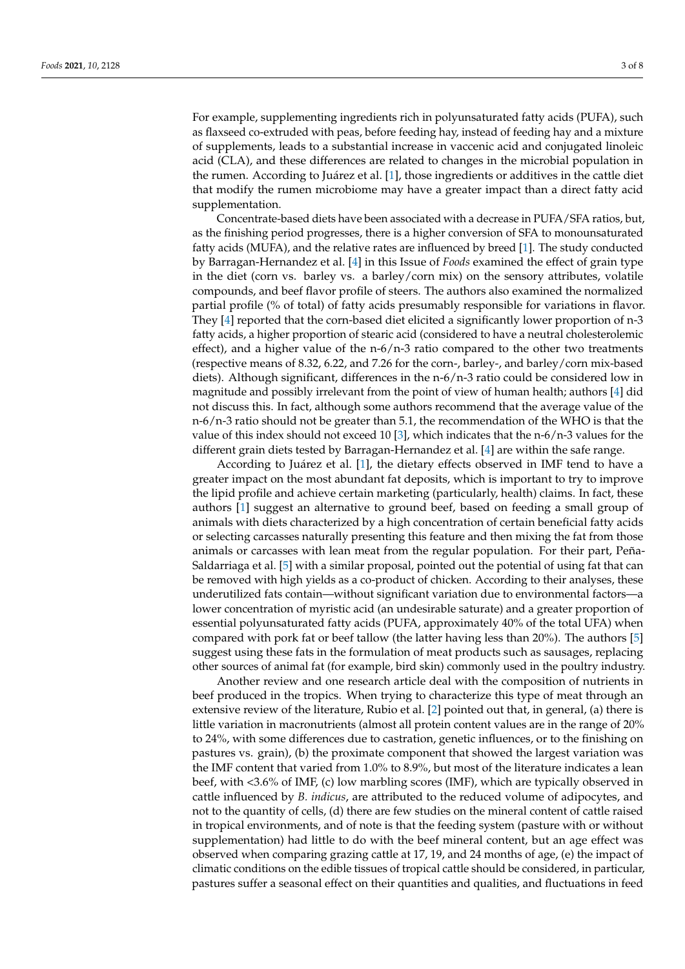For example, supplementing ingredients rich in polyunsaturated fatty acids (PUFA), such as flaxseed co-extruded with peas, before feeding hay, instead of feeding hay and a mixture of supplements, leads to a substantial increase in vaccenic acid and conjugated linoleic acid (CLA), and these differences are related to changes in the microbial population in the rumen. According to Juárez et al. [\[1\]](#page-7-0), those ingredients or additives in the cattle diet that modify the rumen microbiome may have a greater impact than a direct fatty acid supplementation.

Concentrate-based diets have been associated with a decrease in PUFA/SFA ratios, but, as the finishing period progresses, there is a higher conversion of SFA to monounsaturated fatty acids (MUFA), and the relative rates are influenced by breed [\[1\]](#page-7-0). The study conducted by Barragan-Hernandez et al. [\[4\]](#page-7-3) in this Issue of *Foods* examined the effect of grain type in the diet (corn vs. barley vs. a barley/corn mix) on the sensory attributes, volatile compounds, and beef flavor profile of steers. The authors also examined the normalized partial profile (% of total) of fatty acids presumably responsible for variations in flavor. They [\[4\]](#page-7-3) reported that the corn-based diet elicited a significantly lower proportion of n-3 fatty acids, a higher proportion of stearic acid (considered to have a neutral cholesterolemic effect), and a higher value of the n-6/n-3 ratio compared to the other two treatments (respective means of 8.32, 6.22, and 7.26 for the corn-, barley-, and barley/corn mix-based diets). Although significant, differences in the  $n-6/n-3$  ratio could be considered low in magnitude and possibly irrelevant from the point of view of human health; authors [\[4\]](#page-7-3) did not discuss this. In fact, although some authors recommend that the average value of the n-6/n-3 ratio should not be greater than 5.1, the recommendation of the WHO is that the value of this index should not exceed 10 [\[3\]](#page-7-2), which indicates that the  $n-6/n-3$  values for the different grain diets tested by Barragan-Hernandez et al. [\[4\]](#page-7-3) are within the safe range.

According to Juárez et al. [\[1\]](#page-7-0), the dietary effects observed in IMF tend to have a greater impact on the most abundant fat deposits, which is important to try to improve the lipid profile and achieve certain marketing (particularly, health) claims. In fact, these authors [\[1\]](#page-7-0) suggest an alternative to ground beef, based on feeding a small group of animals with diets characterized by a high concentration of certain beneficial fatty acids or selecting carcasses naturally presenting this feature and then mixing the fat from those animals or carcasses with lean meat from the regular population. For their part, Peña-Saldarriaga et al. [\[5\]](#page-7-4) with a similar proposal, pointed out the potential of using fat that can be removed with high yields as a co-product of chicken. According to their analyses, these underutilized fats contain—without significant variation due to environmental factors—a lower concentration of myristic acid (an undesirable saturate) and a greater proportion of essential polyunsaturated fatty acids (PUFA, approximately 40% of the total UFA) when compared with pork fat or beef tallow (the latter having less than 20%). The authors [\[5\]](#page-7-4) suggest using these fats in the formulation of meat products such as sausages, replacing other sources of animal fat (for example, bird skin) commonly used in the poultry industry.

Another review and one research article deal with the composition of nutrients in beef produced in the tropics. When trying to characterize this type of meat through an extensive review of the literature, Rubio et al. [\[2\]](#page-7-1) pointed out that, in general, (a) there is little variation in macronutrients (almost all protein content values are in the range of 20% to 24%, with some differences due to castration, genetic influences, or to the finishing on pastures vs. grain), (b) the proximate component that showed the largest variation was the IMF content that varied from 1.0% to 8.9%, but most of the literature indicates a lean beef, with <3.6% of IMF, (c) low marbling scores (IMF), which are typically observed in cattle influenced by *B. indicus*, are attributed to the reduced volume of adipocytes, and not to the quantity of cells, (d) there are few studies on the mineral content of cattle raised in tropical environments, and of note is that the feeding system (pasture with or without supplementation) had little to do with the beef mineral content, but an age effect was observed when comparing grazing cattle at 17, 19, and 24 months of age, (e) the impact of climatic conditions on the edible tissues of tropical cattle should be considered, in particular, pastures suffer a seasonal effect on their quantities and qualities, and fluctuations in feed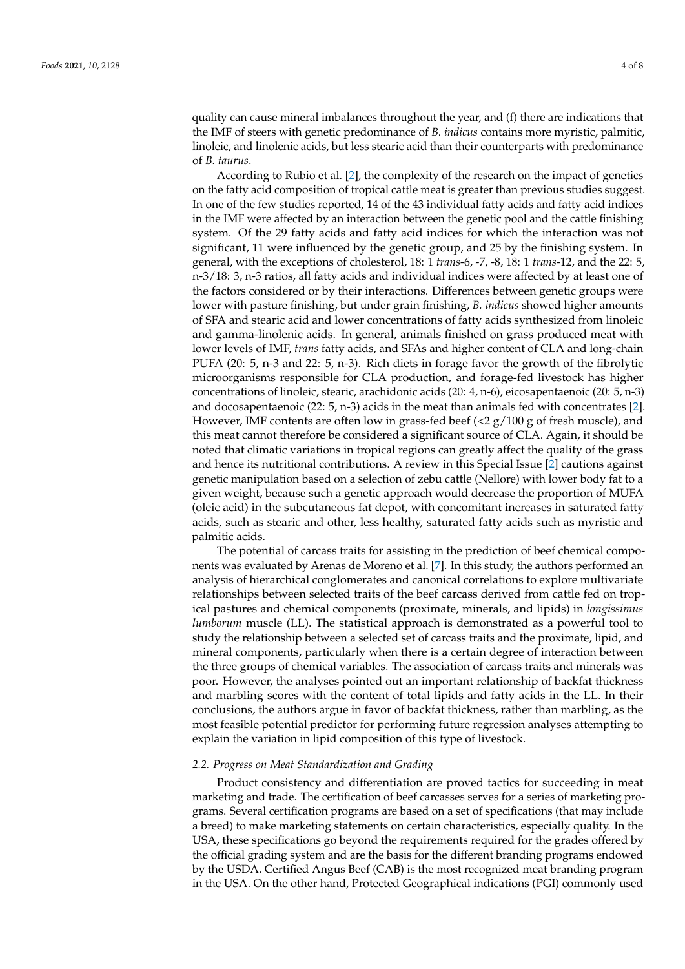quality can cause mineral imbalances throughout the year, and (f) there are indications that the IMF of steers with genetic predominance of *B. indicus* contains more myristic, palmitic, linoleic, and linolenic acids, but less stearic acid than their counterparts with predominance of *B. taurus*.

According to Rubio et al. [\[2\]](#page-7-1), the complexity of the research on the impact of genetics on the fatty acid composition of tropical cattle meat is greater than previous studies suggest. In one of the few studies reported, 14 of the 43 individual fatty acids and fatty acid indices in the IMF were affected by an interaction between the genetic pool and the cattle finishing system. Of the 29 fatty acids and fatty acid indices for which the interaction was not significant, 11 were influenced by the genetic group, and 25 by the finishing system. In general, with the exceptions of cholesterol, 18: 1 *trans*-6, -7, -8, 18: 1 *trans*-12, and the 22: 5, n-3/18: 3, n-3 ratios, all fatty acids and individual indices were affected by at least one of the factors considered or by their interactions. Differences between genetic groups were lower with pasture finishing, but under grain finishing, *B. indicus* showed higher amounts of SFA and stearic acid and lower concentrations of fatty acids synthesized from linoleic and gamma-linolenic acids. In general, animals finished on grass produced meat with lower levels of IMF, *trans* fatty acids, and SFAs and higher content of CLA and long-chain PUFA (20: 5, n-3 and 22: 5, n-3). Rich diets in forage favor the growth of the fibrolytic microorganisms responsible for CLA production, and forage-fed livestock has higher concentrations of linoleic, stearic, arachidonic acids (20: 4, n-6), eicosapentaenoic (20: 5, n-3) and docosapentaenoic (22: 5, n-3) acids in the meat than animals fed with concentrates [\[2\]](#page-7-1). However, IMF contents are often low in grass-fed beef  $\left($  <2 g/100 g of fresh muscle), and this meat cannot therefore be considered a significant source of CLA. Again, it should be noted that climatic variations in tropical regions can greatly affect the quality of the grass and hence its nutritional contributions. A review in this Special Issue [\[2\]](#page-7-1) cautions against genetic manipulation based on a selection of zebu cattle (Nellore) with lower body fat to a given weight, because such a genetic approach would decrease the proportion of MUFA (oleic acid) in the subcutaneous fat depot, with concomitant increases in saturated fatty acids, such as stearic and other, less healthy, saturated fatty acids such as myristic and palmitic acids.

The potential of carcass traits for assisting in the prediction of beef chemical components was evaluated by Arenas de Moreno et al. [\[7\]](#page-7-6). In this study, the authors performed an analysis of hierarchical conglomerates and canonical correlations to explore multivariate relationships between selected traits of the beef carcass derived from cattle fed on tropical pastures and chemical components (proximate, minerals, and lipids) in *longissimus lumborum* muscle (LL). The statistical approach is demonstrated as a powerful tool to study the relationship between a selected set of carcass traits and the proximate, lipid, and mineral components, particularly when there is a certain degree of interaction between the three groups of chemical variables. The association of carcass traits and minerals was poor. However, the analyses pointed out an important relationship of backfat thickness and marbling scores with the content of total lipids and fatty acids in the LL. In their conclusions, the authors argue in favor of backfat thickness, rather than marbling, as the most feasible potential predictor for performing future regression analyses attempting to explain the variation in lipid composition of this type of livestock.

#### *2.2. Progress on Meat Standardization and Grading*

Product consistency and differentiation are proved tactics for succeeding in meat marketing and trade. The certification of beef carcasses serves for a series of marketing programs. Several certification programs are based on a set of specifications (that may include a breed) to make marketing statements on certain characteristics, especially quality. In the USA, these specifications go beyond the requirements required for the grades offered by the official grading system and are the basis for the different branding programs endowed by the USDA. Certified Angus Beef (CAB) is the most recognized meat branding program in the USA. On the other hand, Protected Geographical indications (PGI) commonly used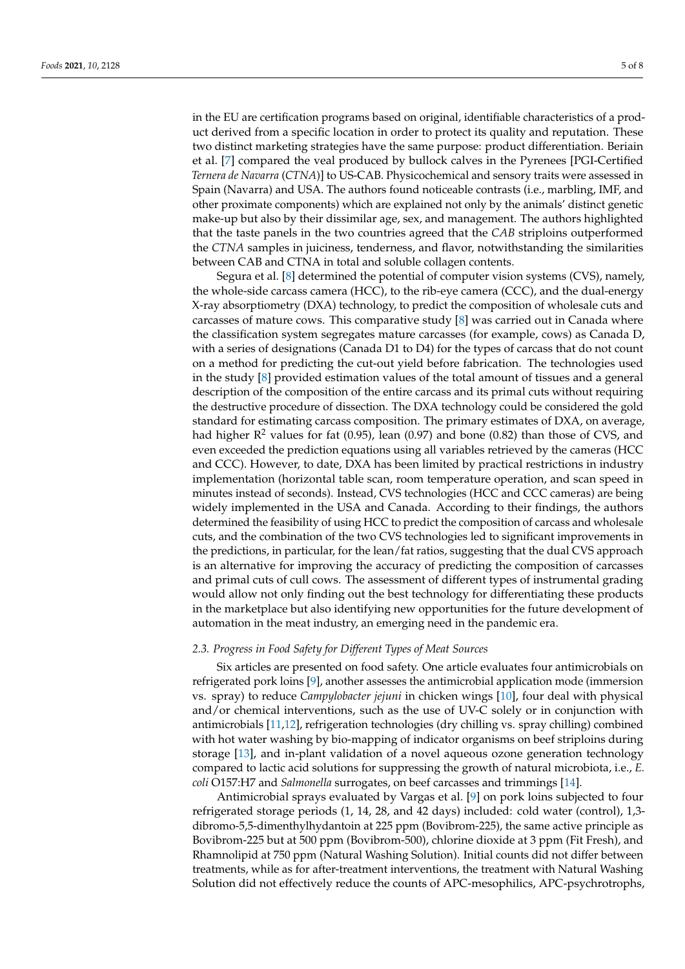in the EU are certification programs based on original, identifiable characteristics of a product derived from a specific location in order to protect its quality and reputation. These two distinct marketing strategies have the same purpose: product differentiation. Beriain et al. [\[7\]](#page-7-6) compared the veal produced by bullock calves in the Pyrenees [PGI-Certified *Ternera de Navarra* (*CTNA*)] to US-CAB. Physicochemical and sensory traits were assessed in Spain (Navarra) and USA. The authors found noticeable contrasts (i.e., marbling, IMF, and other proximate components) which are explained not only by the animals' distinct genetic make-up but also by their dissimilar age, sex, and management. The authors highlighted that the taste panels in the two countries agreed that the *CAB* striploins outperformed the *CTNA* samples in juiciness, tenderness, and flavor, notwithstanding the similarities between CAB and CTNA in total and soluble collagen contents.

Segura et al. [\[8\]](#page-7-7) determined the potential of computer vision systems (CVS), namely, the whole-side carcass camera (HCC), to the rib-eye camera (CCC), and the dual-energy X-ray absorptiometry (DXA) technology, to predict the composition of wholesale cuts and carcasses of mature cows. This comparative study [\[8\]](#page-7-7) was carried out in Canada where the classification system segregates mature carcasses (for example, cows) as Canada D, with a series of designations (Canada D1 to D4) for the types of carcass that do not count on a method for predicting the cut-out yield before fabrication. The technologies used in the study [\[8\]](#page-7-7) provided estimation values of the total amount of tissues and a general description of the composition of the entire carcass and its primal cuts without requiring the destructive procedure of dissection. The DXA technology could be considered the gold standard for estimating carcass composition. The primary estimates of DXA, on average, had higher  $\mathbb{R}^2$  values for fat (0.95), lean (0.97) and bone (0.82) than those of CVS, and even exceeded the prediction equations using all variables retrieved by the cameras (HCC and CCC). However, to date, DXA has been limited by practical restrictions in industry implementation (horizontal table scan, room temperature operation, and scan speed in minutes instead of seconds). Instead, CVS technologies (HCC and CCC cameras) are being widely implemented in the USA and Canada. According to their findings, the authors determined the feasibility of using HCC to predict the composition of carcass and wholesale cuts, and the combination of the two CVS technologies led to significant improvements in the predictions, in particular, for the lean/fat ratios, suggesting that the dual CVS approach is an alternative for improving the accuracy of predicting the composition of carcasses and primal cuts of cull cows. The assessment of different types of instrumental grading would allow not only finding out the best technology for differentiating these products in the marketplace but also identifying new opportunities for the future development of automation in the meat industry, an emerging need in the pandemic era.

#### *2.3. Progress in Food Safety for Different Types of Meat Sources*

Six articles are presented on food safety. One article evaluates four antimicrobials on refrigerated pork loins [\[9\]](#page-7-8), another assesses the antimicrobial application mode (immersion vs. spray) to reduce *Campylobacter jejuni* in chicken wings [\[10\]](#page-7-9), four deal with physical and/or chemical interventions, such as the use of UV-C solely or in conjunction with antimicrobials [\[11](#page-7-10)[,12\]](#page-7-11), refrigeration technologies (dry chilling vs. spray chilling) combined with hot water washing by bio-mapping of indicator organisms on beef striploins during storage [\[13\]](#page-7-12), and in-plant validation of a novel aqueous ozone generation technology compared to lactic acid solutions for suppressing the growth of natural microbiota, i.e., *E. coli* O157:H7 and *Salmonella* surrogates, on beef carcasses and trimmings [\[14\]](#page-7-13).

Antimicrobial sprays evaluated by Vargas et al. [\[9\]](#page-7-8) on pork loins subjected to four refrigerated storage periods (1, 14, 28, and 42 days) included: cold water (control), 1,3 dibromo-5,5-dimenthylhydantoin at 225 ppm (Bovibrom-225), the same active principle as Bovibrom-225 but at 500 ppm (Bovibrom-500), chlorine dioxide at 3 ppm (Fit Fresh), and Rhamnolipid at 750 ppm (Natural Washing Solution). Initial counts did not differ between treatments, while as for after-treatment interventions, the treatment with Natural Washing Solution did not effectively reduce the counts of APC-mesophilics, APC-psychrotrophs,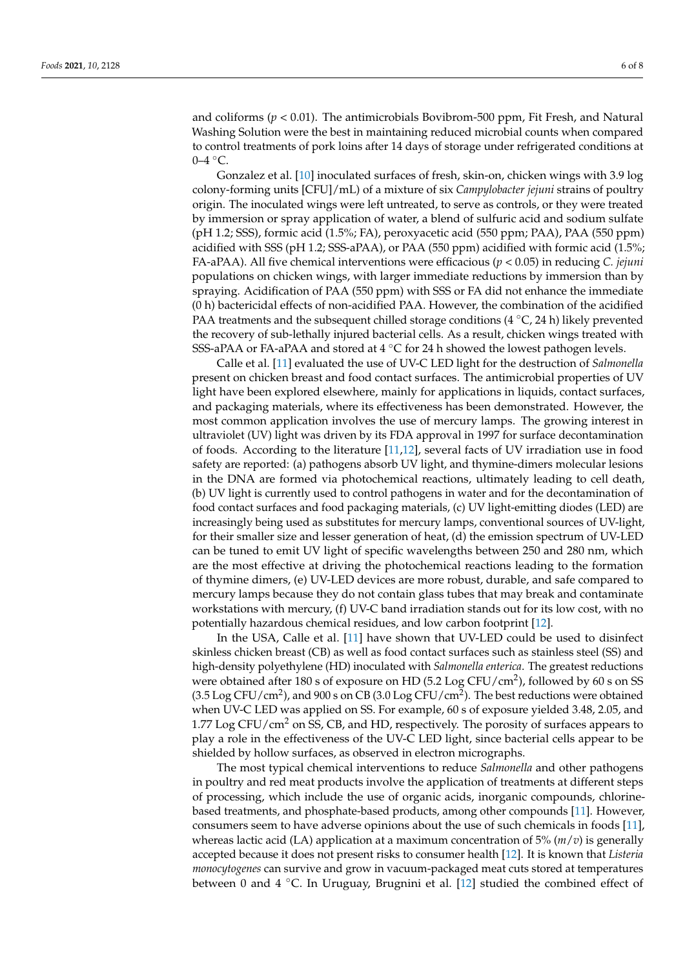and coliforms  $(p < 0.01)$ . The antimicrobials Bovibrom-500 ppm, Fit Fresh, and Natural Washing Solution were the best in maintaining reduced microbial counts when compared to control treatments of pork loins after 14 days of storage under refrigerated conditions at  $0-4$  °C.

Gonzalez et al. [\[10\]](#page-7-9) inoculated surfaces of fresh, skin-on, chicken wings with 3.9 log colony-forming units [CFU]/mL) of a mixture of six *Campylobacter jejuni* strains of poultry origin. The inoculated wings were left untreated, to serve as controls, or they were treated by immersion or spray application of water, a blend of sulfuric acid and sodium sulfate (pH 1.2; SSS), formic acid (1.5%; FA), peroxyacetic acid (550 ppm; PAA), PAA (550 ppm) acidified with SSS (pH 1.2; SSS-aPAA), or PAA (550 ppm) acidified with formic acid (1.5%; FA-aPAA). All five chemical interventions were efficacious (*p* < 0.05) in reducing *C. jejuni* populations on chicken wings, with larger immediate reductions by immersion than by spraying. Acidification of PAA (550 ppm) with SSS or FA did not enhance the immediate (0 h) bactericidal effects of non-acidified PAA. However, the combination of the acidified PAA treatments and the subsequent chilled storage conditions ( $4 °C$ , 24 h) likely prevented the recovery of sub-lethally injured bacterial cells. As a result, chicken wings treated with SSS-aPAA or FA-aPAA and stored at 4 ◦C for 24 h showed the lowest pathogen levels.

Calle et al. [\[11\]](#page-7-10) evaluated the use of UV-C LED light for the destruction of *Salmonella* present on chicken breast and food contact surfaces. The antimicrobial properties of UV light have been explored elsewhere, mainly for applications in liquids, contact surfaces, and packaging materials, where its effectiveness has been demonstrated. However, the most common application involves the use of mercury lamps. The growing interest in ultraviolet (UV) light was driven by its FDA approval in 1997 for surface decontamination of foods. According to the literature [\[11,](#page-7-10)[12\]](#page-7-11), several facts of UV irradiation use in food safety are reported: (a) pathogens absorb UV light, and thymine-dimers molecular lesions in the DNA are formed via photochemical reactions, ultimately leading to cell death, (b) UV light is currently used to control pathogens in water and for the decontamination of food contact surfaces and food packaging materials, (c) UV light-emitting diodes (LED) are increasingly being used as substitutes for mercury lamps, conventional sources of UV-light, for their smaller size and lesser generation of heat, (d) the emission spectrum of UV-LED can be tuned to emit UV light of specific wavelengths between 250 and 280 nm, which are the most effective at driving the photochemical reactions leading to the formation of thymine dimers, (e) UV-LED devices are more robust, durable, and safe compared to mercury lamps because they do not contain glass tubes that may break and contaminate workstations with mercury, (f) UV-C band irradiation stands out for its low cost, with no potentially hazardous chemical residues, and low carbon footprint [\[12\]](#page-7-11).

In the USA, Calle et al. [\[11\]](#page-7-10) have shown that UV-LED could be used to disinfect skinless chicken breast (CB) as well as food contact surfaces such as stainless steel (SS) and high-density polyethylene (HD) inoculated with *Salmonella enterica*. The greatest reductions were obtained after 180 s of exposure on HD (5.2 Log CFU/cm<sup>2</sup>), followed by 60 s on SS  $(3.5 \text{ Log CFU/cm}^2)$ , and 900 s on CB  $(3.0 \text{ Log CFU/cm}^2)$ . The best reductions were obtained when UV-C LED was applied on SS. For example, 60 s of exposure yielded 3.48, 2.05, and  $1.77$  Log CFU/cm<sup>2</sup> on SS, CB, and HD, respectively. The porosity of surfaces appears to play a role in the effectiveness of the UV-C LED light, since bacterial cells appear to be shielded by hollow surfaces, as observed in electron micrographs.

The most typical chemical interventions to reduce *Salmonella* and other pathogens in poultry and red meat products involve the application of treatments at different steps of processing, which include the use of organic acids, inorganic compounds, chlorinebased treatments, and phosphate-based products, among other compounds [\[11\]](#page-7-10). However, consumers seem to have adverse opinions about the use of such chemicals in foods [\[11\]](#page-7-10), whereas lactic acid (LA) application at a maximum concentration of 5% (*m*/*v*) is generally accepted because it does not present risks to consumer health [\[12\]](#page-7-11). It is known that *Listeria monocytogenes* can survive and grow in vacuum-packaged meat cuts stored at temperatures between 0 and 4 ◦C. In Uruguay, Brugnini et al. [\[12\]](#page-7-11) studied the combined effect of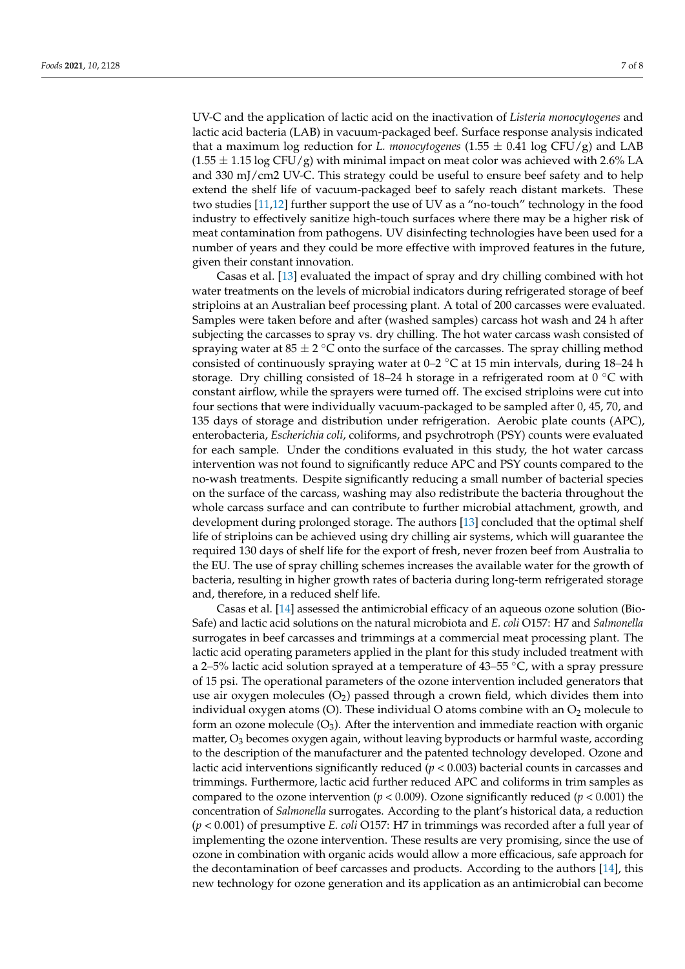UV-C and the application of lactic acid on the inactivation of *Listeria monocytogenes* and lactic acid bacteria (LAB) in vacuum-packaged beef. Surface response analysis indicated that a maximum log reduction for *L. monocytogenes*  $(1.55 \pm 0.41 \log CFU/g)$  and LAB  $(1.55 \pm 1.15 \log CFU/g)$  with minimal impact on meat color was achieved with 2.6% LA and 330 mJ/cm2 UV-C. This strategy could be useful to ensure beef safety and to help extend the shelf life of vacuum-packaged beef to safely reach distant markets. These two studies [\[11,](#page-7-10)[12\]](#page-7-11) further support the use of UV as a "no-touch" technology in the food industry to effectively sanitize high-touch surfaces where there may be a higher risk of meat contamination from pathogens. UV disinfecting technologies have been used for a number of years and they could be more effective with improved features in the future, given their constant innovation.

Casas et al. [\[13\]](#page-7-12) evaluated the impact of spray and dry chilling combined with hot water treatments on the levels of microbial indicators during refrigerated storage of beef striploins at an Australian beef processing plant. A total of 200 carcasses were evaluated. Samples were taken before and after (washed samples) carcass hot wash and 24 h after subjecting the carcasses to spray vs. dry chilling. The hot water carcass wash consisted of spraying water at  $85 \pm 2$  °C onto the surface of the carcasses. The spray chilling method consisted of continuously spraying water at  $0-2$  °C at 15 min intervals, during 18–24 h storage. Dry chilling consisted of 18–24 h storage in a refrigerated room at  $0^{\circ}$ C with constant airflow, while the sprayers were turned off. The excised striploins were cut into four sections that were individually vacuum-packaged to be sampled after 0, 45, 70, and 135 days of storage and distribution under refrigeration. Aerobic plate counts (APC), enterobacteria, *Escherichia coli*, coliforms, and psychrotroph (PSY) counts were evaluated for each sample. Under the conditions evaluated in this study, the hot water carcass intervention was not found to significantly reduce APC and PSY counts compared to the no-wash treatments. Despite significantly reducing a small number of bacterial species on the surface of the carcass, washing may also redistribute the bacteria throughout the whole carcass surface and can contribute to further microbial attachment, growth, and development during prolonged storage. The authors [\[13\]](#page-7-12) concluded that the optimal shelf life of striploins can be achieved using dry chilling air systems, which will guarantee the required 130 days of shelf life for the export of fresh, never frozen beef from Australia to the EU. The use of spray chilling schemes increases the available water for the growth of bacteria, resulting in higher growth rates of bacteria during long-term refrigerated storage and, therefore, in a reduced shelf life.

Casas et al. [\[14\]](#page-7-13) assessed the antimicrobial efficacy of an aqueous ozone solution (Bio-Safe) and lactic acid solutions on the natural microbiota and *E. coli* O157: H7 and *Salmonella* surrogates in beef carcasses and trimmings at a commercial meat processing plant. The lactic acid operating parameters applied in the plant for this study included treatment with a 2–5% lactic acid solution sprayed at a temperature of 43–55 °C, with a spray pressure of 15 psi. The operational parameters of the ozone intervention included generators that use air oxygen molecules  $(O_2)$  passed through a crown field, which divides them into individual oxygen atoms (O). These individual O atoms combine with an  $O_2$  molecule to form an ozone molecule  $(O_3)$ . After the intervention and immediate reaction with organic matter,  $O_3$  becomes oxygen again, without leaving byproducts or harmful waste, according to the description of the manufacturer and the patented technology developed. Ozone and lactic acid interventions significantly reduced (*p* < 0.003) bacterial counts in carcasses and trimmings. Furthermore, lactic acid further reduced APC and coliforms in trim samples as compared to the ozone intervention ( $p < 0.009$ ). Ozone significantly reduced ( $p < 0.001$ ) the concentration of *Salmonella* surrogates. According to the plant's historical data, a reduction (*p* < 0.001) of presumptive *E. coli* O157: H7 in trimmings was recorded after a full year of implementing the ozone intervention. These results are very promising, since the use of ozone in combination with organic acids would allow a more efficacious, safe approach for the decontamination of beef carcasses and products. According to the authors [\[14\]](#page-7-13), this new technology for ozone generation and its application as an antimicrobial can become